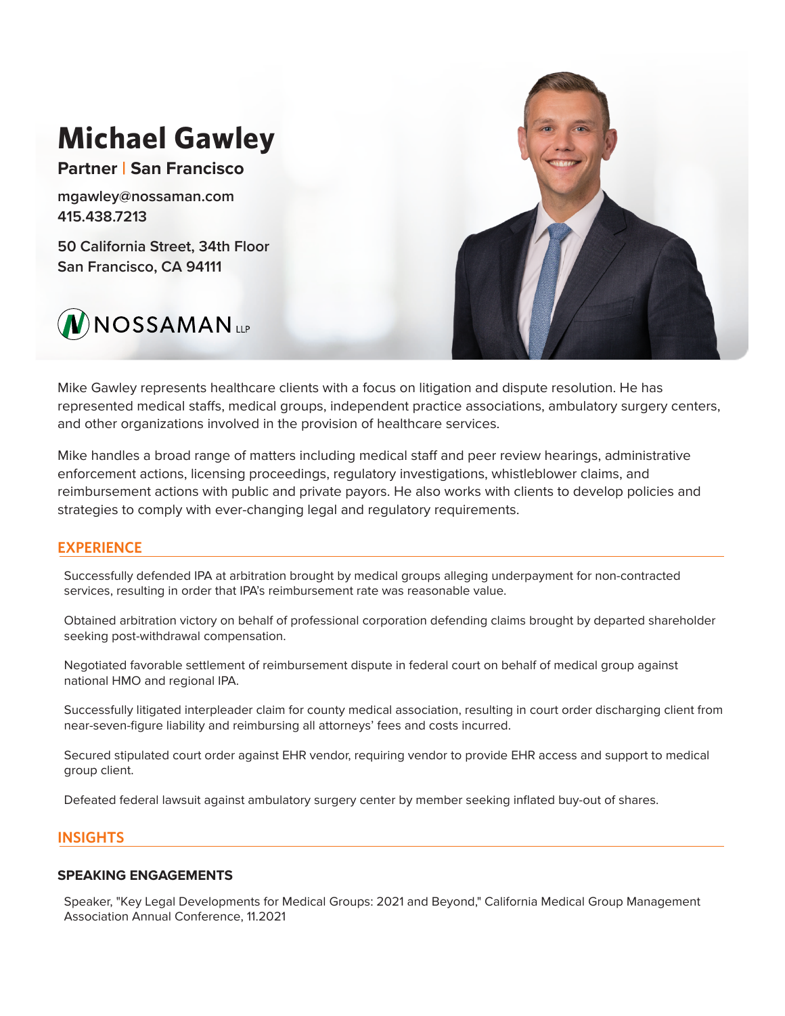# **Michael Gawley Partner | San Francisco** mgawley@nossaman.com 415.438.7213 50 California Street, 34th Floor San Francisco, CA 94111  $\bigvee$ NOSSAMAN

Mike Gawley represents healthcare clients with a focus on litigation and dispute resolution. He has represented medical staffs, medical groups, independent practice associations, ambulatory surgery centers, and other organizations involved in the provision of healthcare services.

Mike handles a broad range of matters including medical staff and peer review hearings, administrative enforcement actions, licensing proceedings, regulatory investigations, whistleblower claims, and reimbursement actions with public and private payors. He also works with clients to develop policies and strategies to comply with ever-changing legal and regulatory requirements.

## **EXPERIENCE**

Successfully defended IPA at arbitration brought by medical groups alleging underpayment for non-contracted services, resulting in order that IPA's reimbursement rate was reasonable value.

Obtained arbitration victory on behalf of professional corporation defending claims brought by departed shareholder seeking post-withdrawal compensation.

Negotiated favorable settlement of reimbursement dispute in federal court on behalf of medical group against national HMO and regional IPA.

Successfully litigated interpleader claim for county medical association, resulting in court order discharging client from near-seven-figure liability and reimbursing all attorneys' fees and costs incurred.

Secured stipulated court order against EHR vendor, requiring vendor to provide EHR access and support to medical group client.

Defeated federal lawsuit against ambulatory surgery center by member seeking inflated buy-out of shares.

## **INSIGHTS**

## **SPEAKING ENGAGEMENTS**

Speaker, "Key Legal Developments for Medical Groups: 2021 and Beyond," California Medical Group Management Association Annual Conference, 11.2021